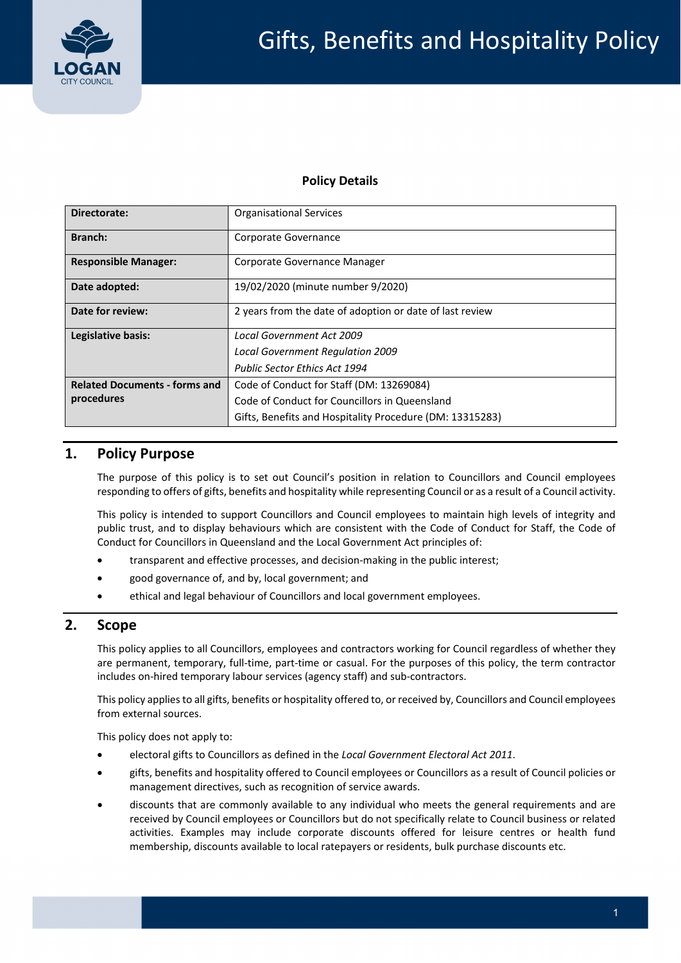

### **Policy Details**

| Directorate:                         | <b>Organisational Services</b>                           |  |  |
|--------------------------------------|----------------------------------------------------------|--|--|
| Branch:                              | Corporate Governance                                     |  |  |
| <b>Responsible Manager:</b>          | Corporate Governance Manager                             |  |  |
| Date adopted:                        | 19/02/2020 (minute number 9/2020)                        |  |  |
| Date for review:                     | 2 years from the date of adoption or date of last review |  |  |
| Legislative basis:                   | Local Government Act 2009                                |  |  |
|                                      | Local Government Regulation 2009                         |  |  |
|                                      | <b>Public Sector Ethics Act 1994</b>                     |  |  |
| <b>Related Documents - forms and</b> | Code of Conduct for Staff (DM: 13269084)                 |  |  |
| procedures                           | Code of Conduct for Councillors in Queensland            |  |  |
|                                      | Gifts, Benefits and Hospitality Procedure (DM: 13315283) |  |  |

# **1. Policy Purpose**

 The purpose of this policy is to set out Council's position in relation to Councillors and Council employees responding to offers of gifts, benefits and hospitality while representing Council or as a result of a Council activity.

 This policy is intended to support Councillors and Council employees to maintain high levels of integrity and public trust, and to display behaviours which are consistent with the Code of Conduct for Staff, the Code of Conduct for Councillors in Queensland and the Local Government Act principles of:

- transparent and effective processes, and decision‐making in the public interest;
- good governance of, and by, local government; and
- ethical and legal behaviour of Councillors and local government employees.

### **2. Scope**

 This policy applies to all Councillors, employees and contractors working for Council regardless of whether they are permanent, temporary, full‐time, part‐time or casual. For the purposes of this policy, the term contractor includes on‐hired temporary labour services (agency staff) and sub‐contractors.

This policy applies to all gifts, benefits or hospitality offered to, or received by, Councillors and Council employees from external sources.

This policy does not apply to:

- electoral gifts to Councillors as defined in the *Local Government Electoral Act 2011*.
- gifts, benefits and hospitality offered to Council employees or Councillors as a result of Council policies or management directives, such as recognition of service awards.
- discounts that are commonly available to any individual who meets the general requirements and are received by Council employees or Councillors but do not specifically relate to Council business or related activities. Examples may include corporate discounts offered for leisure centres or health fund membership, discounts available to local ratepayers or residents, bulk purchase discounts etc.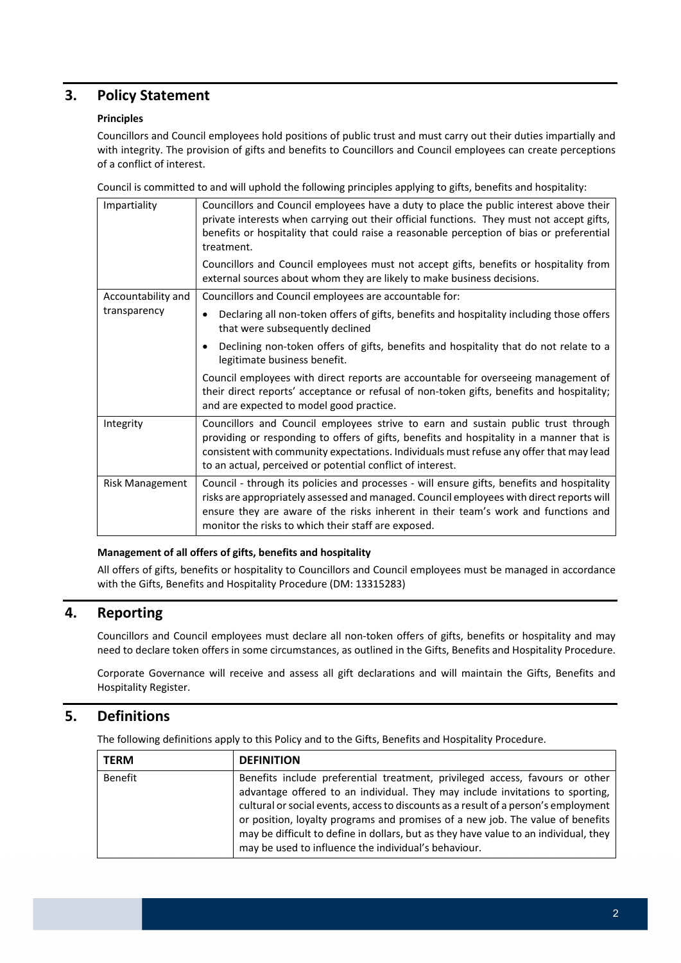## **3. Policy Statement**

### **Principles**

 Councillors and Council employees hold positions of public trust and must carry out their duties impartially and with integrity. The provision of gifts and benefits to Councillors and Council employees can create perceptions of a conflict of interest.

Council is committed to and will uphold the following principles applying to gifts, benefits and hospitality:

| Impartiality       | Councillors and Council employees have a duty to place the public interest above their<br>private interests when carrying out their official functions. They must not accept gifts,<br>benefits or hospitality that could raise a reasonable perception of bias or preferential<br>treatment.                                          |
|--------------------|----------------------------------------------------------------------------------------------------------------------------------------------------------------------------------------------------------------------------------------------------------------------------------------------------------------------------------------|
|                    | Councillors and Council employees must not accept gifts, benefits or hospitality from<br>external sources about whom they are likely to make business decisions.                                                                                                                                                                       |
| Accountability and | Councillors and Council employees are accountable for:                                                                                                                                                                                                                                                                                 |
| transparency       | Declaring all non-token offers of gifts, benefits and hospitality including those offers<br>$\bullet$<br>that were subsequently declined                                                                                                                                                                                               |
|                    | Declining non-token offers of gifts, benefits and hospitality that do not relate to a<br>legitimate business benefit.                                                                                                                                                                                                                  |
|                    | Council employees with direct reports are accountable for overseeing management of<br>their direct reports' acceptance or refusal of non-token gifts, benefits and hospitality;<br>and are expected to model good practice.                                                                                                            |
| Integrity          | Councillors and Council employees strive to earn and sustain public trust through<br>providing or responding to offers of gifts, benefits and hospitality in a manner that is<br>consistent with community expectations. Individuals must refuse any offer that may lead<br>to an actual, perceived or potential conflict of interest. |
| Risk Management    | Council - through its policies and processes - will ensure gifts, benefits and hospitality<br>risks are appropriately assessed and managed. Council employees with direct reports will<br>ensure they are aware of the risks inherent in their team's work and functions and<br>monitor the risks to which their staff are exposed.    |

#### **Management of all offers of gifts, benefits and hospitality**

 All offers of gifts, benefits or hospitality to Councillors and Council employees must be managed in accordance with the Gifts, Benefits and Hospitality Procedure (DM: 13315283)

## **4. Reporting**

 Councillors and Council employees must declare all non‐token offers of gifts, benefits or hospitality and may need to declare token offers in some circumstances, as outlined in the Gifts, Benefits and Hospitality Procedure.

 Corporate Governance will receive and assess all gift declarations and will maintain the Gifts, Benefits and Hospitality Register.

### **5. Definitions**

The following definitions apply to this Policy and to the Gifts, Benefits and Hospitality Procedure.

| <b>TERM</b>    | <b>DEFINITION</b>                                                                                                                                                                                                                                                                                                                                                                                                                                                                      |
|----------------|----------------------------------------------------------------------------------------------------------------------------------------------------------------------------------------------------------------------------------------------------------------------------------------------------------------------------------------------------------------------------------------------------------------------------------------------------------------------------------------|
| <b>Benefit</b> | Benefits include preferential treatment, privileged access, favours or other<br>advantage offered to an individual. They may include invitations to sporting,<br>cultural or social events, access to discounts as a result of a person's employment<br>or position, loyalty programs and promises of a new job. The value of benefits<br>may be difficult to define in dollars, but as they have value to an individual, they<br>may be used to influence the individual's behaviour. |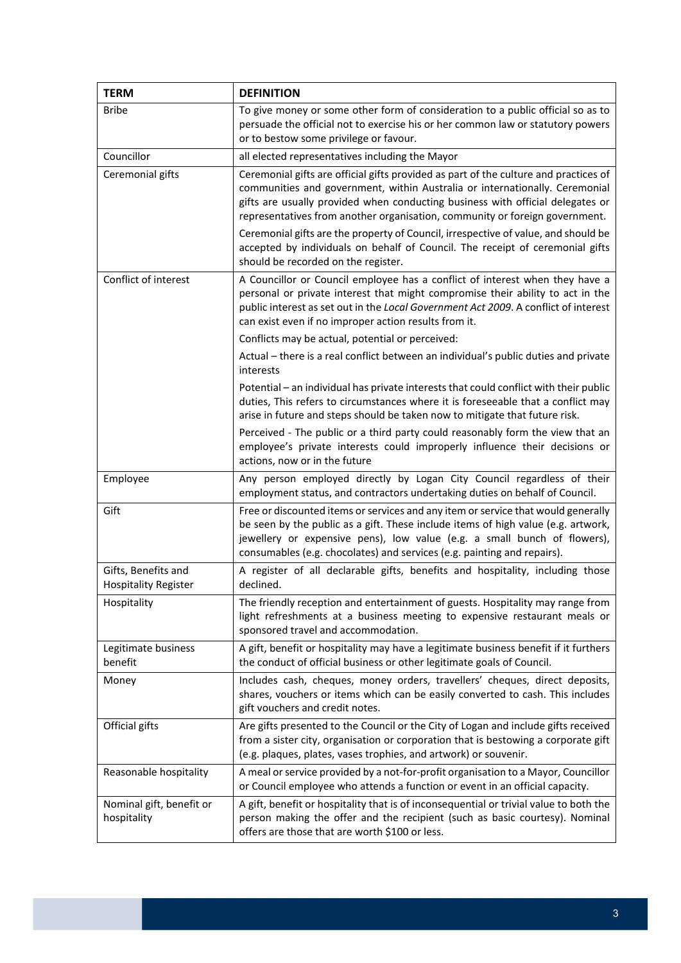| <b>TERM</b>                                        | <b>DEFINITION</b>                                                                                                                                                                                                                                                                                                                                                                                                                                                                                                                                  |  |  |
|----------------------------------------------------|----------------------------------------------------------------------------------------------------------------------------------------------------------------------------------------------------------------------------------------------------------------------------------------------------------------------------------------------------------------------------------------------------------------------------------------------------------------------------------------------------------------------------------------------------|--|--|
| <b>Bribe</b>                                       | To give money or some other form of consideration to a public official so as to<br>persuade the official not to exercise his or her common law or statutory powers<br>or to bestow some privilege or favour.                                                                                                                                                                                                                                                                                                                                       |  |  |
| Councillor                                         | all elected representatives including the Mayor                                                                                                                                                                                                                                                                                                                                                                                                                                                                                                    |  |  |
| Ceremonial gifts                                   | Ceremonial gifts are official gifts provided as part of the culture and practices of<br>communities and government, within Australia or internationally. Ceremonial<br>gifts are usually provided when conducting business with official delegates or<br>representatives from another organisation, community or foreign government.<br>Ceremonial gifts are the property of Council, irrespective of value, and should be<br>accepted by individuals on behalf of Council. The receipt of ceremonial gifts<br>should be recorded on the register. |  |  |
| Conflict of interest                               | A Councillor or Council employee has a conflict of interest when they have a<br>personal or private interest that might compromise their ability to act in the<br>public interest as set out in the Local Government Act 2009. A conflict of interest<br>can exist even if no improper action results from it.                                                                                                                                                                                                                                     |  |  |
|                                                    | Conflicts may be actual, potential or perceived:                                                                                                                                                                                                                                                                                                                                                                                                                                                                                                   |  |  |
|                                                    | Actual – there is a real conflict between an individual's public duties and private<br>interests                                                                                                                                                                                                                                                                                                                                                                                                                                                   |  |  |
|                                                    | Potential - an individual has private interests that could conflict with their public<br>duties, This refers to circumstances where it is foreseeable that a conflict may<br>arise in future and steps should be taken now to mitigate that future risk.                                                                                                                                                                                                                                                                                           |  |  |
|                                                    | Perceived - The public or a third party could reasonably form the view that an<br>employee's private interests could improperly influence their decisions or<br>actions, now or in the future                                                                                                                                                                                                                                                                                                                                                      |  |  |
| Employee                                           | Any person employed directly by Logan City Council regardless of their<br>employment status, and contractors undertaking duties on behalf of Council.                                                                                                                                                                                                                                                                                                                                                                                              |  |  |
| Gift                                               | Free or discounted items or services and any item or service that would generally<br>be seen by the public as a gift. These include items of high value (e.g. artwork,<br>jewellery or expensive pens), low value (e.g. a small bunch of flowers),<br>consumables (e.g. chocolates) and services (e.g. painting and repairs).                                                                                                                                                                                                                      |  |  |
| Gifts, Benefits and<br><b>Hospitality Register</b> | A register of all declarable gifts, benefits and hospitality, including those<br>declined.                                                                                                                                                                                                                                                                                                                                                                                                                                                         |  |  |
| Hospitality                                        | The friendly reception and entertainment of guests. Hospitality may range from<br>light refreshments at a business meeting to expensive restaurant meals or<br>sponsored travel and accommodation.                                                                                                                                                                                                                                                                                                                                                 |  |  |
| Legitimate business<br>benefit                     | A gift, benefit or hospitality may have a legitimate business benefit if it furthers<br>the conduct of official business or other legitimate goals of Council.                                                                                                                                                                                                                                                                                                                                                                                     |  |  |
| Money                                              | Includes cash, cheques, money orders, travellers' cheques, direct deposits,<br>shares, vouchers or items which can be easily converted to cash. This includes<br>gift vouchers and credit notes.                                                                                                                                                                                                                                                                                                                                                   |  |  |
| Official gifts                                     | Are gifts presented to the Council or the City of Logan and include gifts received<br>from a sister city, organisation or corporation that is bestowing a corporate gift<br>(e.g. plaques, plates, vases trophies, and artwork) or souvenir.                                                                                                                                                                                                                                                                                                       |  |  |
| Reasonable hospitality                             | A meal or service provided by a not-for-profit organisation to a Mayor, Councillor<br>or Council employee who attends a function or event in an official capacity.                                                                                                                                                                                                                                                                                                                                                                                 |  |  |
| Nominal gift, benefit or<br>hospitality            | A gift, benefit or hospitality that is of inconsequential or trivial value to both the<br>person making the offer and the recipient (such as basic courtesy). Nominal<br>offers are those that are worth \$100 or less.                                                                                                                                                                                                                                                                                                                            |  |  |